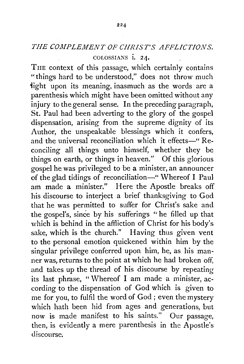## THE COMPLEMENT OF CHRIST'S AFFLICTIONS. COLOSSIANS i. 24.

THE context of this passage, which certainly contains "things hard to be understood," does not throw much light upon its meaning, inasmuch as the words are a parenthesis which might have been omitted without any injury to the general sense. In the preceding paragraph, St. Paul had been adverting to the glory of the gospel dispensation, arising from the supreme dignity of its Author, the unspeakable blessings which it confers, and the universal reconciliation which it effects-" Reconciling all things unto himself, whether they be things on earth, or things in heaven." Of this glorious gospel he was privileged to be a minister, an announcer of the glad tidings of reconciliation-" Whereof I Paul am made a minister." Here the Apostle breaks off his discourse to interject a brief thanksgiving to God that he was permitted to suffer for Christ's sake and the gospel's, since by his sufferings "he filled up that which is behind in the affliction of Christ for his body's sake, which is the church." Having thus given vent to the personal emotion quickened within him by the singular privilege conferred upon him, he, as his manner was, returns to the point at which he had broken off, and takes up the thread of his discourse by repeating its last phrase, " Whereof I am made a minister, according to the dispensation of God which is given to me for you, to fulfil the word of God ; even the mystery which hath been hid from ages and generations, but now is made manifest to his saints." Our passage, then, is evidently a mere parenthesis in the Apostle's discourse.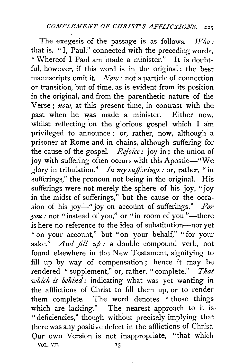The exegesis of the passage is as follows.  $Who$ : that is, "I, Paul," connected with the preceding words, " Whereof I Paul am made a minister." It is doubtful, however, if this word is in the original : the best manuscripts omit it. *Now:* not a particle of connection or transition, but of time, as is evident from its position in the original, and from the parenthetic nature of the Verse ; *now,* at this present time, in contrast with the past when he was made a minister. Either now, whilst reflecting on the glorious gospel which I am privileged to announce; or, rather, now, although a prisoner at Rome and in chains, although suffering for the cause of the gospel. *Rejoice:* joy in; the union of joy with suffering often occurs with this Apostle-"We glory in tribulation." *In my sufferings:* or, rather, "in sufferings," the pronoun not being in the original. His sufferings were not merely the sphere of his joy, "joy in the midst of sufferings," but the cause or the occasion of his joy-" joy on account of sufferings." *For you* : not "instead of you," or "in room of you"—there is here no reference to the idea of substitution-nor yet " on your account," but "on your behalf," " for your sake." *And fill up:* a double compound verb, not found elsewhere in the New Testament, signifying to fill up by way of compensation ; hence it may be rendered "supplement," or, rather, "complete." *That which is behind:* indicating what was yet wanting in the afflictions of Christ to fill them up, or to render them complete. The word denotes " those things which are lacking." The nearest approach to it is. "deficiencies," though without precisely implying that there was any positive defect in the afflictions of Christ. Our own Version is not inappropriate, "that which VOL. VII, T5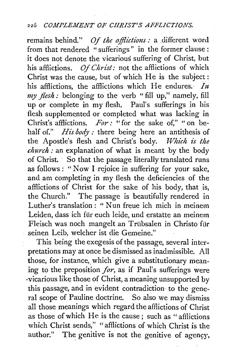## 226 *COMPLEMENT OF CHRIST'S AFFLICTIONS.*

remains behind." *Of the afflictions*: a different word from that rendered " sufferings " in the former clause : it does not denote the vicarious suffering of Christ, but his afflictions. *Of Christ:* not the afflictions of which Christ was the cause, but of which He is the subject: his afflictions, the afflictions which He endures.  $I_n$  $my$  flesh: belonging to the verb "fill up," namely, fill up or complete in my flesh. Paul's sufferings in his flesh supplemented or completed what was lacking in Christ's afflictions. *For*: "for the sake of," "on behalf of." *His body :* there being here an antithesis of the Apostle's flesh and Christ's body. *Which is the church :* an explanation of what is meant by the body of Christ. So that the passage literally translated runs as follows : " Now I rejoice in suffering for your sake, and am completing in my flesh the deficiencies of the afflictions of Christ for the sake of his body, that is, the Church." The passage is beautifully rendered in Luther's translation : " Nun freue ich mich in meinem Leiden, dass ich für euch leide, und erstatte an meinem Fleisch was noch mangelt an Trübsalen in Christo für seinen Leib, welcher ist die Gemeine."

This being the exegesis of the passage, several interpretations may at once be dismissed as inadmissible. All those, for instance, which give a substitutionary meaning to the preposition *for,* as if Paul's sufferings were -vicarious like those of Christ, a meaning unsupported by this passage, and in evident contradiction· to the general scope of Pauline doctrine. So also we may dismiss all those meanings which regard the afflictions of Christ as those of which He is the cause; such as "afflictions which Christ sends," "afflictions of which Christ is the author." The genitive is not the genitive of agency,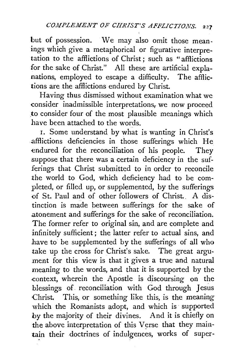but of possession. We may also omit those meanings which give a metaphorical or figurative interpretation to the afflictions of Christ ; such as "afflictions for the sake of Christ." All these are artificial explanations, employed to escape a difficulty. The afflictions are the afflictions endured by Christ.

Having thus dismissed without examination what we consider inadmissible interpretations, we now proceed to consider four of the most plausible meanings which have been attached to the words.

r. Some understand by what is wanting in Christ's .afflictions deficiencies in those sufferings which He endured for the reconciliation of his people. They suppose that there was a certain deficiency in the sufferings that Christ submitted to in order to reconcile the world to God, which deficiency had to be completed, or filled up, or supplemented, by the sufferings of St. Paul and of other followers of Christ.. A distinction is made between sufferings for the sake of .atonement and sufferings for the sake of reconciliation. The former refer to original sin, and are complete and infinitely sufficient; the latter refer to actual sins, and have to be supplemented by the sufferings of all who take up the cross for Christ's sake. The great argument for this view is that it gives a true and natural meaning to the words, and that it is supported by the -context, wherein the Apostle is discoursing on the blessings of. reconciliation with God through Jesus Christ. This, or something like this, is the meaning which the Romanists adopt, and which is supported by the majority of their divines. And it is chiefly on the above interpretation of this Verse that they maintain their doctrines of indulgences, works of super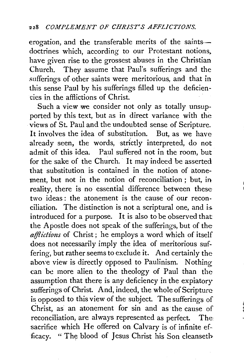erogation, and the transferable merits of the saintsdoctrines which, according to our Protestant notions. have given rise to the grossest abuses in the Christian Church. They assume that Paul's sufferings and the sufferings of other saints were meritorious, and that in this sense Paul by his sufferings filled up the deficiencies in the afflictions of Christ.

Such a view we consider not only as totally unsupported by this text, but as in direct variance with the views of St. Paul and the undoubted sense of Scripture. It involves the idea of substitution. But, as we have already seen, the words, strictly interpreted, do not admit of this idea; Paul suffered not in the room, but for the sake of the Church. It may indeed be asserted that substitution is contained in the notion of atonement, but not in the notion of reconciliation ; but, in reality, there is no essential difference between these two ideas : the atonement is the cause of our reconciliation. The distinction is not a scriptural one, and is introduced for a purpose. It is also to be observed that the Apostle does not speak of the sufferings, but of the afflictions of Christ; he employs a word which of itself does not necessarily imply the idea of meritorious suffering, but rather seems to exclude it. And certainly the above view is directly opposed to Paulinism. Nothing can be more alien to the theology of Paul than the assumption that there is any deficiency in the expiatory sufferings of Christ. And, indeed, the whole of Scripture is opposed to this view of the subject. The sufferings of Christ, as an atonement for sin and as the cause of reconciliation, are always represented as perfect. The sacrifice which He offered on Calvary is of infinite efficacy. " The blood of Jesus Christ his Son cleanseth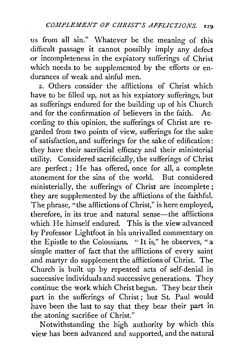us from all sin." Whatever be the meaning of this difficult passage it cannot possibly imply any defect or incompleteness in the expiatory sufferings of Christ which needs to be supplemented by the efforts or endurances of weak and sinful men.

2. Others consider the afflictions of Christ which have to be filled up, not as his expiatory sufferings, but as sufferings endured for the building up of his Church and for the confirmation of believers in the faith. According to this opinion, the sufferings of Christ are regarded from two points of view, sufferings for the sake of satisfaction, and sufferings for the sake of edification: they have their sacrificial efficacy and their ministerial utility. Considered sacrificially, the sufferings of Christ are perfect; He has offered, once for all, a complete atonement for the sins of the world. But considered ministerially, the sufferings of Christ are incomplete ; they are supplemented by the afflictions of the faithfuL The phrase, "the afflictions of Christ," is here employed, therefore, in its true and natural sense—the afflictions which He himself endured. This is the view advanced by Professor Lightfoot in his unrivalled commentary on the Epistle to the Colossians. "It is," he observes, "a simple matter of fact that the afflictions of every saint and martyr do supplement the afflictions of Christ. The Church is built up by repeated acts of self-denial in successive individuals and successive generations. They continue the work which Christ began. They bear their part in the sufferings of Christ; but St. Paul would have been the last to say that they bear their part in the atoning sacrifice of Christ."

Notwithstanding the high authority by which this view has been advanced and supported, and the natural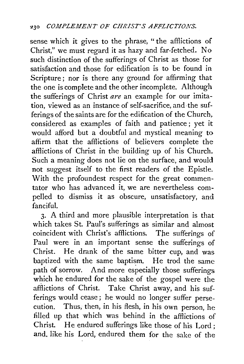sense which it gives to the phrase, "the afflictions of Christ," we must regard it as hazy and far-fetched. No such distinction of the sufferings of Christ as those for satisfaction and those for edification is to be found in Scripture; nor is there any ground for affirming that the one is complete and the other incomplete. Although the sufferings of Christ *are* an example for our imitation, viewed as an instance of self-sacrifice, and the sufferings of the saints are for the edification of the Church, considered as examples of faith and patience ; yet it would afford but a doubtful and mystical meaning to affirm that the afflictions of believers complete the afflictions of Christ in the building up of his Church. Such a meaning does not lie on the surface, and would not suggest itself to the first readers of the Epistle. With the profoundest respect for the great commentator who has advanced it, we are nevertheless compelled to dismiss it as obscure, unsatisfactory, and fanciful.

3· A third and more plausible interpretation is that which takes St. Paul's sufferings as similar and almost coincident with Christ's afflictions. The sufferings of Paul were in an important sense the sufferings of Christ. He drank of the same bitter cup, and was baptized with the same baptism. He trod the same path of sorrow. And more especially those sufferings which he endured for the sake of the gospel were the afflictions of Christ. Take Christ away, and his sufferings would cease ; he would no longer suffer persecution. Thus, then, in his flesh, in his own person, he filled up that which was behind in the afflictions of Christ. He endured sufferings like those of his Lord; and. like his Lord, endured them for the sake of the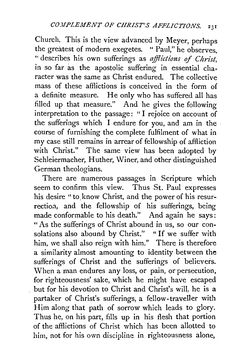Church. This is the view advanced by Meyer, perhaps the greatest of modern exegetes. "Paul," he observes, " describes his own sufferings as *afflictions of Christ*, in so far as the apostolic suffering in essential character was the same as Christ endured. The collective mass of these afflictions is conceived in the form of a definite measure. He only who has suffered all has filled up that measure." And he gives the following interpretation to the passage: " I rejoice on account of the sufferings which I endure for you, and am in the course of furnishing the complete fulfilment of what in my case still remains in arrear of fellowship of affliction with Christ." The same view has been adopted by Schleiermacher, Huther, Winer, and other distinguished German theologians.

There are numerous passages in Scripture which seem to confirm this view. Thus St. Paul expresses his desire "to know Christ, and the power of his resurrectioa, and the fellowship of his sufferings, being made conformable to his death." And again he says : " As the sufferings of Christ abound in us, so our consolations also abound by Christ." " If we suffer with him, we shall also reign with him." There is therefore a similarity almost amounting to identity between the sufferings of Christ and the sufferings of believers. When a man endures any loss, or pain, or persecution, for righteousness' sake, which he might have escaped but for his devotion to Christ and Christ's will, he is a partaker of Christ's sufferings, a fellow-traveller with Him along that path of sorrow which leads to glory. Thus he, on his part, fills up in his flesh that portion of the afflictions of Christ which has been allotted to him, not for his own discipline in righteousness alone,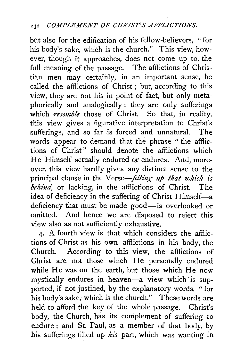but also for the edification of his fellow-believers, " for his body's sake, which is the church." This view, however, though it approaches, does not come up to, the full meaning of the passage. The afflictions of Christian men may certainly, in an important sense, be called the afflictions of Christ ; but, according to this view, they are not his in point of fact, but only metaphorically and analogically : they are only sufferings which *resemble* those of Christ. So that, in reality, this view gives a figurative interpretation to Christ's sufferings, and so far is forced and unnatural. The words appear to demand that the phrase " the afflic- . tions of Christ" should denote the afflictions which He Himself actually endured *or* endures. And, moreover, this view hardly gives any distinct sense to the principal clause in the Verse—*filling up that which is behind*, or lacking, in the afflictions of Christ. The idea of deficiency in the suffering of Christ Himself-a deficiency that must be made good- is overlooked or omitted. And hence we are disposed to reject this view also as not sufficiently exhaustive.

4· A fourth view is that which considers the afflictions of Christ as his own afflictions in his body, the Church. According to this view, the afflictions of Christ are not those which He personally endured while He was on the earth, but those which He now mystically endures in heaven-a view which ·is supported, if not justified, by the explanatory words, "for his body's sake, which is the church." These words are held to afford the key of the whole passage. Christ's body, the Church, has its complement of suffering to endure ; and St. Paul, as a member of that body, by his sufferings filled up *his* part, which was wanting in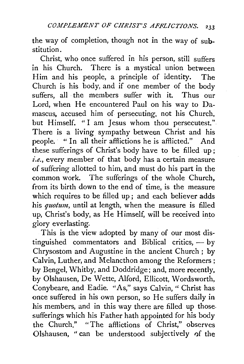the way of completion, though not in the way of substitution.

Christ, who once suffered in his person, still suffers in his Church. There is a mystical union between Him and his people, a principle of identity. The Church is his body, and if one member of the body suffers, all the members suffer with it. Thus our Lord, when He encountered Paul on his way to Damascus, accused him of persecuting, not his Church, but Himself. "I am Jesus whom thou persecutest." There is a living sympathy between Christ and his people. "In all their afflictions he is afflicted." And these sufferings of Christ's body have to be filled up; *i.e.*, every member of that body has a certain measure of suffering allotted to him, and must do his part in the common work. The sufferings of the whole Church, from its birth down to the end of time, is the measure which requires to be filled up; and each believer adds his *quotum*, until at length, when the measure is filled up, Christ's body, as He Himself, will be received into glory everlasting.

This is the view adopted by many of our most distinguished commentators and Biblical critics,  $-$  by Chrysostom and Augustine in the ancient Church ; by Calvin, Luther, and Melancthon among the Reformers ; by Bengel, Whitby, and Doddridge; and, more recently, by Olshausen, De Wette, Alford, Ellicott, Wordsworth, Conybeare, and Eadie. "As," says Calvin, '' Christ has once suffered in his own person, so He suffers daily in his members, and in this way there are filled up those. sufferings which his Father hath appointed for his body the Church." "The afflictions of Christ," observes Olshausen, "can be understood subjectively of the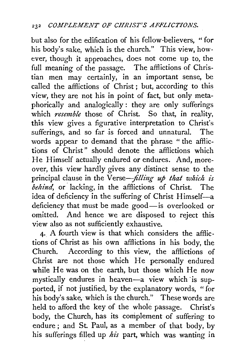but also for the edification of his fellow-believers, " for his body's sake, which is the church." This view, however, though it approaches, does not come up to, the full meaning of the passage. The afflictions of Christian men may certainly, in an important sense, be called the afflictions of Christ ; but, according to this view, they are not his in point of fact, but only metaphorically and analogically : they are only sufferings which *resemble* those of Christ. So that, in reality, this view gives a figurative interpretation to Christ's sufferings, and so far is forced and unnatural. The words appear to demand that the phrase " the afflictions of Christ" should denote the afflictions which He Himself actually endured *or* endures. And, moreover, this view hardly gives any distinct sense to the principal clause in the Verse-*filling up that which is* behind, or lacking, in the afflictions of Christ. The idea of deficiency in the suffering of Christ Himself-a deficiency that must be made good- is overlooked or omitted. And hence we are disposed to reject this view also as not sufficiently exhaustive.

4· A fourth view is that which considers the afflictions of Christ as his own afflictions in his body, the Church. According to this view, the afflictions of Christ are not those which He personally endured while He was on the earth, but those which He now mystically endures in heaven-a view which ·is supported, if not justified, by the explanatory words, " for his body's sake, which is the church." These words are held to afford the key of the whole passage. Christ's body, the Church, has its complement of suffering to endure ; and St. Paul, as a member of that body, by his sufferings filled up *his* part, which was wanting in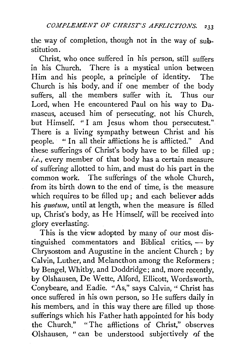the way of completion, though not in the way of substitution.

Christ, who once suffered in his person, still suffers in his Church. There is a mystical union between Him and his people, a principle of identity. The Church is his body, and if one member of the body suffers, all the members suffer with it. Thus our Lord, when He encountered Paul on his way to Damascus, accused him of persecuting, not his Church, but Himself. "I am Jesus whom thou persecutest." There is a living sympathy between Christ and his people. " In all their afflictions he is afflicted." And these sufferings of Christ's body have to be filled up; *i.e.*, every member of that body has a certain measure of suffering allotted to him, and must do his part in the common work. The sufferings of the whole Church, from its birth down to the end of time, is the measure which requires to be filled up; and each believer adds his *quotum*, until at length, when the measure is filled up, Christ's body, as He Himself, will be received into glory everlasting.

This is the view adopted by many of our most distinguished commentators and Biblical critics,  $-$  by Chrysostom and Augustine in the ancient Church ; by Calvin, Luther, and Melancthon among the Reformers ; by Bengel, Whitby, and Doddridge; and, more recently, by Olshausen, De Wette, Alford, Ellicott, Wordsworth, Conybeare, and Eadie. "As," says Calvin, '' Christ has once suffered in his own person, so He suffers daily in his members, and in this way there are filled up those. sufferings which his Father hath appointed for his body the Church." "The afflictions of Christ," observes Olshausen, "can be understood subjectively of the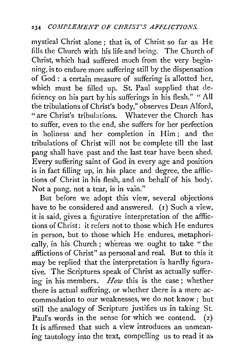mystical Christ alone; that is, of Christ so far as He fills the Church with his life and being. The Church of Christ, which had suffered much from the very beginning, is to endure more suffering still by the dispensation of  $God : a certain measure of suffering is allotted her,$ which must be filled up. St. Paul supplied that deficiency on his part by his sufferings in his flesh." "All the tribulations of Christ's body," observes Dean Alford, "are Christ's tribulations. Whatever the Church .has to suffer, even to the end, she suffers for her perfection in. holiness and her completion in Him; and the tribulations of Christ will not be complete till the last pang shall have past and the last tear have been shed. Every suffering saint of God in every age and position is in fact filling up, in his place and degree, the afflictions of Christ in his flesh, and on behalf of his bodr. Not a pang, not a tear, is in vain."

But before we adopt this view, several objections have to be considered and answered. (1) Such a view, it is said, gives a figurative interpretation of the afflictions of Christ: it refers not to those which He endures in person, but to those which He endures, metaphorically, in his Church ; whereas· we ought to take " the afflictions of Christ" as personal and real. But to this it may be replied that the interpretation is hardly figurative. The Scriptures speak of Christ as actually suffering in· his members. *How* this is the case; whether there is actual suffering, or whether there is a mere accommodation to our weaknesses, we do not know ; but still the analogy of Scripture justifies us in taking St. Paul's words in the sense for which we contend.  $(2)$ It is affirmed that such a view introduces an unmeaning tautology into the text, compelling us to read it as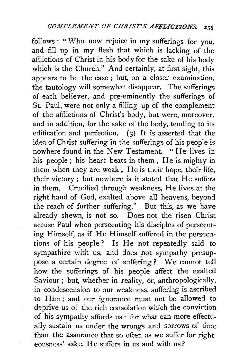$follows: "Who now reject in my suffering for you,$ and fill up in my flesh that which is lacking of the afflictions of Christ in his body for the sake of his body which is the Church." And certainly, at first sight, this appears to be the case ; but, on a closer examination, the tautology will somewhat disappear. The sufferings of each believer, and pre-eminently the sufferings of St. Paul, were not only a filling up of the complement of the afflictions of Christ's body, but were, moreover, and in addition, for the sake of the body, tending to its edification and perfection. (3) It is asserted that the idea of Christ suffering in the sufferings of his people is nowhere found in the New Testament. "He lives in his people ; his heart beats in them; He is mighty in them when they are weak; He is their hope, their life, their victory; but nowhere is it stated that He suffers in them. Crucified through weakness, He lives at the right hand of God, exalted above all heavens, beyond the reach of further suffering." But this, as we have already shewn, is not so. Does not the risen Christ accuse Paul when persecuting his disciples of persecuting Himself, as if He Himself suffered in the persecutions of his people? Is He not repeatedly said *to*  sympathize with us, and does not sympathy presuppose a certain degree of suffering ? We cannot tell how the sufferings of his people affect the exalted Saviour; but, whether in reality, or, anthropologically, in condescension to our weakness, suffering is ascribed to Him ; and our ignorance must not be allowed to deprive us of the rich consolation which the conviction of his sympathy affords us: for what can more effectually sustain us under the wrongs and sorrows of time than the assurance that so often as we suffer for righteousness' sake. He suffers in us and with us?